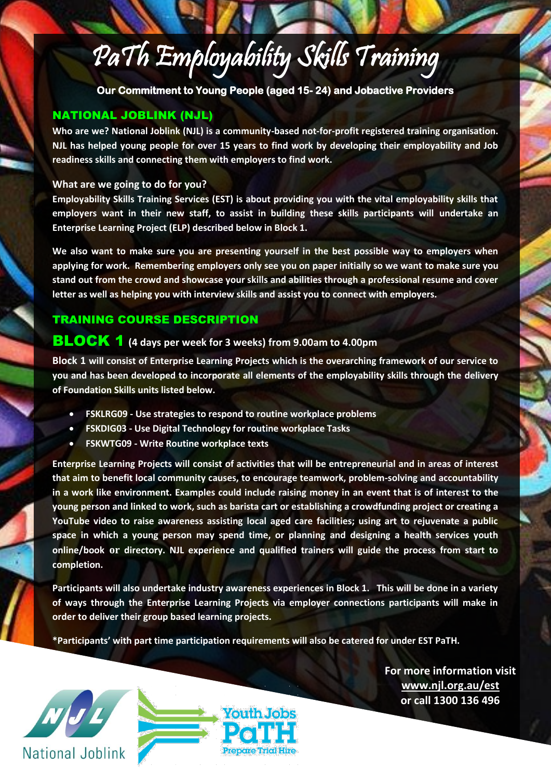# PaTh Employability Skills Training

**Our Commitment to Young People (aged 15- 24) and Jobactive Providers**

# NATIONAL JOBLINK (NJL)

**Who are we? National Joblink (NJL) is a community-based not-for-profit registered training organisation. NJL has helped young people for over 15 years to find work by developing their employability and Job readiness skills and connecting them with employers to find work.** 

#### **What are we going to do for you?**

**Employability Skills Training Services (EST) is about providing you with the vital employability skills that employers want in their new staff, to assist in building these skills participants will undertake an Enterprise Learning Project (ELP) described below in Block 1.**

**We also want to make sure you are presenting yourself in the best possible way to employers when applying for work. Remembering employers only see you on paper initially so we want to make sure you stand out from the crowd and showcase your skills and abilities through a professional resume and cover letter as well as helping you with interview skills and assist you to connect with employers.**

# TRAINING COURSE DESCRIPTION

# BLOCK 1 **(4 days per week for 3 weeks) from 9.00am to 4.00pm**

**Block 1 will consist of Enterprise Learning Projects which is the overarching framework of our service to you and has been developed to incorporate all elements of the employability skills through the delivery of Foundation Skills units listed below.**

- **FSKLRG09 - Use strategies to respond to routine workplace problems**
- **FSKDIG03 - Use Digital Technology for routine workplace Tasks**
- **FSKWTG09 - Write Routine workplace texts**

**Enterprise Learning Projects will consist of activities that will be entrepreneurial and in areas of interest that aim to benefit local community causes, to encourage teamwork, problem-solving and accountability in a work like environment. Examples could include raising money in an event that is of interest to the young person and linked to work, such as barista cart or establishing a crowdfunding project or creating a YouTube video to raise awareness assisting local aged care facilities; using art to rejuvenate a public space in which a young person may spend time, or planning and designing a health services youth online/book or directory. NJL experience and qualified trainers will guide the process from start to completion.** 

**Participants will also undertake industry awareness experiences in Block 1. This will be done in a variety of ways through the Enterprise Learning Projects via employer connections participants will make in order to deliver their group based learning projects.** 

**\*Participants' with part time participation requirements will also be catered for under EST PaTH.**





**For more information visit [www.njl.org.au/est](http://www.njl.org.au/est) or call 1300 136 496**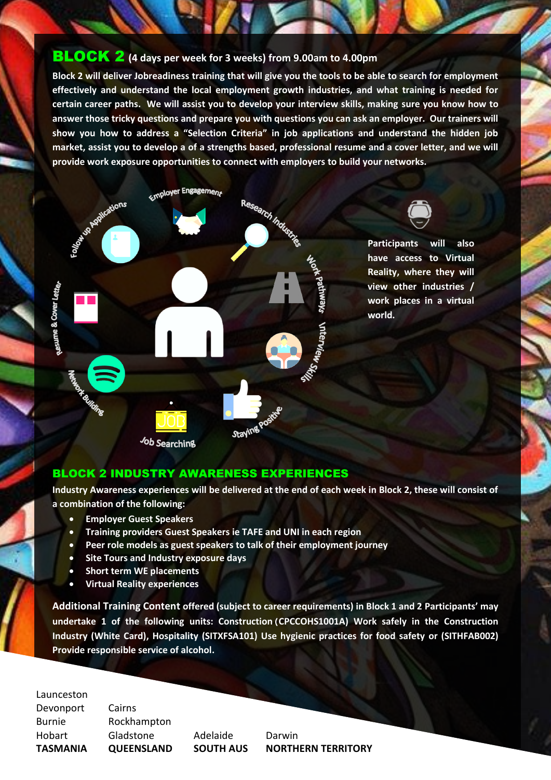# BLOCK 2 **(4 days per week for 3 weeks) from 9.00am to 4.00pm**

**Block 2 will deliver Jobreadiness training that will give you the tools to be able to search for employment effectively and understand the local employment growth industries, and what training is needed for certain career paths. We will assist you to develop your interview skills, making sure you know how to answer those tricky questions and prepare you with questions you can ask an employer. Our trainers will show you how to address a "Selection Criteria" in job applications and understand the hidden job market, assist you to develop a of a strengths based, professional resume and a cover letter, and we will provide work exposure opportunities to connect with employers to build your networks.** 



Job Searching

# BLOCK 2 INDUSTRY AWARENESS EXPERIENCES

**Industry Awareness experiences will be delivered at the end of each week in Block 2, these will consist of a combination of the following:**

- **Employer Guest Speakers**
- **Training providers Guest Speakers ie TAFE and UNI in each region**
- **Peer role models as guest speakers to talk of their employment journey**
- **Site Tours and Industry exposure days**
- **Short term WE placements**
- **Virtual Reality experiences**

**Additional Training Content offered (subject to career requirements) in Block 1 and 2 Participants' may undertake 1 of the following units: Construction(CPCCOHS1001A) Work safely in the Construction Industry (White Card), Hospitality (SITXFSA101) Use hygienic practices for food safety or (SITHFAB002) Provide responsible service of alcohol.** 

Launceston

esume & Cover Lette

Devonport Cairns

Burnie Rockhampton Hobart Gladstone Adelaide Darwin

**TASMANIA QUEENSLAND SOUTH AUS NORTHERN TERRITORY**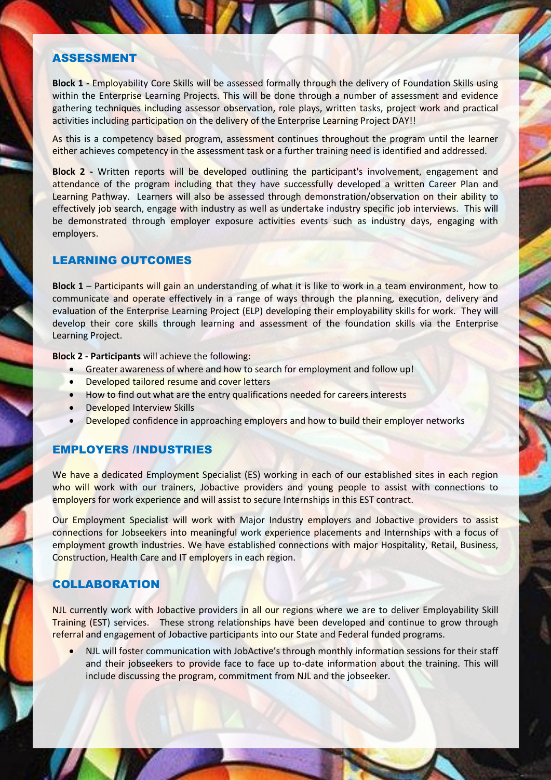#### ASSESSMENT

**Block 1 -** Employability Core Skills will be assessed formally through the delivery of Foundation Skills using within the Enterprise Learning Projects. This will be done through a number of assessment and evidence gathering techniques including assessor observation, role plays, written tasks, project work and practical activities including participation on the delivery of the Enterprise Learning Project DAY!!

As this is a competency based program, assessment continues throughout the program until the learner either achieves competency in the assessment task or a further training need is identified and addressed.

**Block 2 -** Written reports will be developed outlining the participant's involvement, engagement and attendance of the program including that they have successfully developed a written Career Plan and Learning Pathway. Learners will also be assessed through demonstration/observation on their ability to effectively job search, engage with industry as well as undertake industry specific job interviews. This will be demonstrated through employer exposure activities events such as industry days, engaging with employers.

#### LEARNING OUTCOMES

**Block 1** – Participants will gain an understanding of what it is like to work in a team environment, how to communicate and operate effectively in a range of ways through the planning, execution, delivery and evaluation of the Enterprise Learning Project (ELP) developing their employability skills for work. They will develop their core skills through learning and assessment of the foundation skills via the Enterprise Learning Project.

**Block 2 - Participants** will achieve the following:

- Greater awareness of where and how to search for employment and follow up!
- Developed tailored resume and cover letters
- How to find out what are the entry qualifications needed for careers interests
- **•** Developed Interview Skills
- Developed confidence in approaching employers and how to build their employer networks

# EMPLOYERS /INDUSTRIES

We have a dedicated Employment Specialist (ES) working in each of our established sites in each region who will work with our trainers, Jobactive providers and young people to assist with connections to employers for work experience and will assist to secure Internships in this EST contract.

Our Employment Specialist will work with Major Industry employers and Jobactive providers to assist connections for Jobseekers into meaningful work experience placements and Internships with a focus of employment growth industries. We have established connections with major Hospitality, Retail, Business, Construction, Health Care and IT employers in each region.

# **COLLABORATION**

NJL currently work with Jobactive providers in all our regions where we are to deliver Employability Skill Training (EST) services. These strong relationships have been developed and continue to grow through referral and engagement of Jobactive participants into our State and Federal funded programs.

 NJL will foster communication with JobActive's through monthly information sessions for their staff and their jobseekers to provide face to face up to-date information about the training. This will include discussing the program, commitment from NJL and the jobseeker.